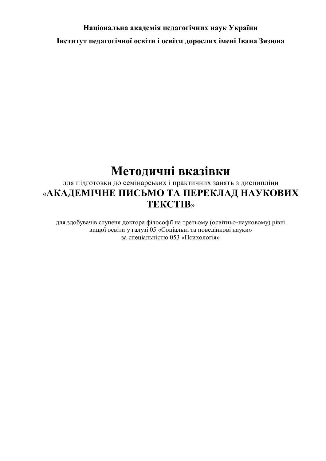## **Національна академія педагогічних наук України Інститут педагогічної освіти і освіти дорослих імені Івана Зязюна**

# **Методичні вказівки**

## для підготовки до семінарських і практичних занять з дисципліни «**АКАДЕМІЧНЕ ПИСЬМО ТА ПЕРЕКЛАД НАУКОВИХ ТЕКСТІВ**»

для здобувачів ступеня доктора філософії на третьому (освітньо-науковому) рівні вищої освіти у галузі 05 «Соціальні та поведінкові науки» за спеціальністю 053 «Психологія»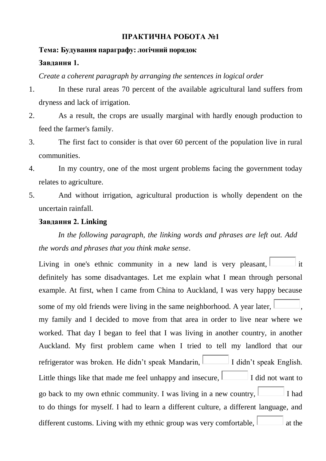## **ПРАКТИЧНА РОБОТА №1**

## **Тема: Будування параграфу: логічний порядок Завдання 1.**

#### *Create a coherent paragraph by arranging the sentences in logical order*

- 1. [In these rural areas 70 percent of the available agricultural land suffers from](javascript:DoNothing())  [dryness and lack of irrigation.](javascript:DoNothing())
- 2. [As a result, the crops are usually marginal with hardly enough production to](javascript:DoNothing())  [feed the farmer's family.](javascript:DoNothing())
- 3. [The first fact to consider is that over 60 percent of the population live in rural](javascript:DoNothing())  [communities.](javascript:DoNothing())
- 4. [In my country, one of the most urgent problems facing the government today](javascript:DoNothing())  [relates to agriculture.](javascript:DoNothing())
- 5. [And without irrigation, agricultural production is wholly dependent on the](javascript:DoNothing())  [uncertain rainfall.](javascript:DoNothing())

#### **Завдання 2. Linking**

*In the following paragraph, the linking words and phrases are left out. Add the words and phrases that you think make sense*.

Living in one's ethnic community in a new land is very pleasant,  $\Box$  it definitely has some disadvantages. Let me explain what I mean through personal example. At first, when I came from China to Auckland, I was very happy because some of my old friends were living in the same neighborhood. A year later, my family and I decided to move from that area in order to live near where we worked. That day I began to feel that I was living in another country, in another Auckland. My first problem came when I tried to tell my landlord that our refrigerator was broken. He didn't speak Mandarin,  $\Box$  I didn't speak English. Little things like that made me feel unhappy and insecure,  $\boxed{\phantom{a}}$  I did not want to go back to my own ethnic community. I was living in a new country,  $\Box$  I had to do things for myself. I had to learn a different culture, a different language, and different customs. Living with my ethnic group was very comfortable,  $\Box$  at the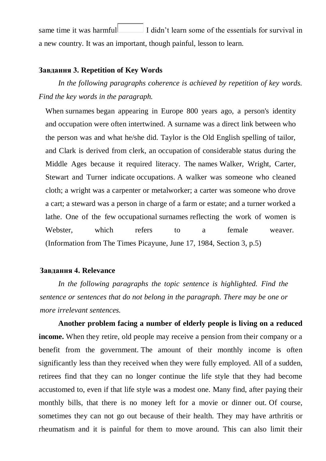same time it was harmful  $\Box$  I didn't learn some of the essentials for survival in a new country. It was an important, though painful, lesson to learn.

#### **Завдання 3. Repetition of Key Words**

*In the following paragraphs coherence is achieved by repetition of key words. Find the key words in the paragraph.*

[When](javascript:DoNothing()) [surnames](javascript:DoNothing()) [began appearing in Europe 800 years ago,](javascript:DoNothing()) a person's identity [and](javascript:DoNothing()) [occupation](javascript:DoNothing()) [were often intertwined. A](javascript:DoNothing()) [surname](javascript:DoNothing()) [was a direct link between who](javascript:DoNothing())  [the person was and what he/she did. Taylor is the Old English spelling of tailor,](javascript:DoNothing())  [and Clark is derived from clerk, an](javascript:DoNothing()) [occupation](javascript:DoNothing()) [of considerable status during the](javascript:DoNothing())  [Middle Ages because it required literacy. The](javascript:DoNothing()) [names](javascript:DoNothing()) [Walker, Wright, Carter,](javascript:DoNothing())  [Stewart and Turner indicate](javascript:DoNothing()) [occupations.](javascript:DoNothing()) [A walker was someone who cleaned](javascript:DoNothing())  [cloth; a wright was a carpenter or metalworker; a carter was someone who drove](javascript:DoNothing())  [a cart; a steward was a person in charge of a farm or estate; and a turner worked a](javascript:DoNothing())  [lathe. One of the few](javascript:DoNothing()) [occupational](javascript:DoNothing()) [surnames](javascript:DoNothing()) [reflecting the work of women is](javascript:DoNothing())  [Webster, which refers to a female weaver.](javascript:DoNothing()) (Information from The Times Picayune, June 17, 1984, Section 3, p.5)

#### **Завдання 4. Relevance**

*In the following paragraphs the topic sentence is highlighted. Find the sentence or sentences that do not belong in the paragraph. There may be one or more irrelevant sentences.*

**Another problem facing a number of elderly people is living on a reduced income.** When they retire, old people may receive a pension from their company or a [benefit from the government.](javascript:DoNothing()) [The amount of their monthly income is often](javascript:DoNothing())  [significantly less than they received when they were fully employed.](javascript:DoNothing()) [All of a sudden,](javascript:DoNothing())  [retirees find that they can no longer continue the life style that they had become](javascript:DoNothing())  [accustomed to, even if that life style was a modest one.](javascript:DoNothing()) [Many find, after paying their](javascript:DoNothing())  [monthly bills, that there is no money left for a movie or dinner out.](javascript:DoNothing()) [Of course,](javascript:DoNothing())  [sometimes they can not go out because of their health. They may have arthritis or](javascript:DoNothing())  [rheumatism and it is painful for them to move around. This can also limit their](javascript:DoNothing())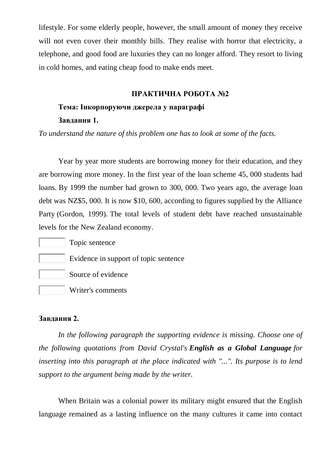lifestyle. [For some elderly people, however, the small amount of money they receive](javascript:DoNothing())  [will not even cover their monthly bills.](javascript:DoNothing()) They realise with horror that electricity, a [telephone, and good food are luxuries they can no longer afford.](javascript:DoNothing()) [They resort to living](javascript:DoNothing())  [in cold homes, and eating cheap food to make ends meet.](javascript:DoNothing())

#### **ПРАКТИЧНА РОБОТА №2**

## **Тема: Інкорпоруючи джерела у параграфі Завдання 1.**

*[To understand the nature of this problem one has to look at some of the facts.](javascript:DoNothing())*

[Year by year more students are borrowing money for their education, and they](javascript:DoNothing())  [are borrowing more money.](javascript:DoNothing()) [In the first year of the loan scheme 45, 000 students had](javascript:DoNothing())  [loans.](javascript:DoNothing()) [By 1999 the number had grown to 300, 000.](javascript:DoNothing()) [Two years ago, the average loan](javascript:DoNothing())  [debt was NZ\\$5, 000.](javascript:DoNothing()) [It is now \\$10, 600, according to figures supplied by the Alliance](javascript:DoNothing())  [Party](javascript:DoNothing()) [\(Gordon, 1999\).](javascript:DoNothing()) [The total levels of student debt have reached unsustainable](javascript:DoNothing())  [levels for the New Zealand economy.](javascript:DoNothing())

Topic sentence

- Evidence in support of topic sentence
- Source of evidence
- Writer's comments

#### **Завдання 2.**

*In the following paragraph the supporting evidence is missing. Choose one of the following quotations from David Crystal's English as a Global Language for inserting into this paragraph at the place indicated with "...". Its purpose is to lend support to the argument being made by the writer.*

When Britain was a colonial power its military might ensured that the English language remained as a lasting influence on the many cultures it came into contact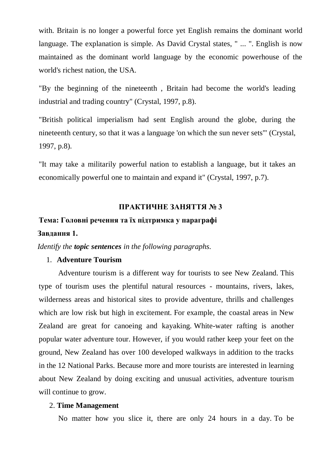with. Britain is no longer a powerful force yet English remains the dominant world language. The explanation is simple. As David Crystal states, " ... ". English is now maintained as the dominant world language by the economic powerhouse of the world's richest nation, the USA.

"By the beginning of the nineteenth , Britain had become the world's leading industrial and trading country" (Crystal, 1997, p.8).

"British political imperialism had sent English around the globe, during the nineteenth century, so that it was a language 'on which the sun never sets'" (Crystal, 1997, p.8).

"It may take a militarily powerful nation to establish a language, but it takes an economically powerful one to maintain and expand it" (Crystal, 1997, p.7).

## **ПРАКТИЧНЕ ЗАНЯТТЯ № 3**

#### **Тема: Головні речення та їх підтримка у параграфі**

#### **Завдання 1.**

*Identify the topic sentences in the following paragraphs.*

#### 1. **Adventure Tourism**

[Adventure tourism is a different way for tourists to see New Zealand.](javascript:DoNothing()) [This](javascript:DoNothing())  [type of tourism uses the plentiful natural resources -](javascript:DoNothing()) mountains, rivers, lakes, [wilderness areas and historical sites to provide adventure, thrills and challenges](javascript:DoNothing())  [which are low risk but high in excitement.](javascript:DoNothing()) [For example, the coastal areas in New](javascript:DoNothing())  [Zealand are great for canoeing and kayaking.](javascript:DoNothing()) [White-water rafting is another](javascript:DoNothing())  [popular water adventure tour.](javascript:DoNothing()) [However, if you would rather keep your feet on the](javascript:DoNothing())  [ground, New Zealand has over 100 developed walkways in addition to the tracks](javascript:DoNothing())  [in the 12 National Parks.](javascript:DoNothing()) [Because more and more tourists are interested in learning](javascript:DoNothing())  [about New Zealand by doing exciting and unusual activities, adventure tourism](javascript:DoNothing())  [will continue to grow.](javascript:DoNothing())

#### 2. **Time Management**

[No matter how you slice it, there are only 24 hours in a day.](javascript:DoNothing()) [To be](javascript:DoNothing())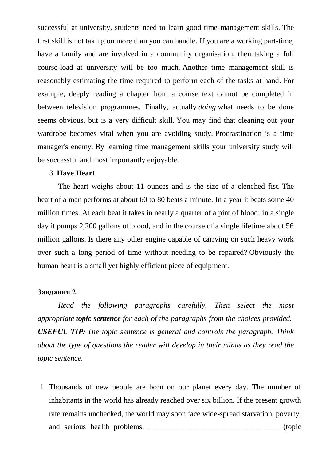successful at university, students need to learn good time-management skills. [The](javascript:DoNothing())  [first skill is not taking on more than you can handle.](javascript:DoNothing()) [If you are a working part-time,](javascript:DoNothing())  have a family [and are involved in a community organisation, then taking a full](javascript:DoNothing())  [course-load at university will be too much.](javascript:DoNothing()) [Another time management skill is](javascript:DoNothing())  [reasonably estimating the time required to perform each of the tasks at hand.](javascript:DoNothing()) [For](javascript:DoNothing())  [example, deeply reading a chapter from a course text cannot be completed in](javascript:DoNothing())  [between television programmes.](javascript:DoNothing()) Finally, actually *doing* [what needs to be done](javascript:DoNothing())  [seems obvious, but is a](javascript:DoNothing()) very difficult skill. [You may find that cleaning out your](javascript:DoNothing())  [wardrobe becomes vital when you are avoiding study.](javascript:DoNothing()) [Procrastination is a time](javascript:DoNothing())  [manager's enemy.](javascript:DoNothing()) [By learning time management skills your university study will](javascript:DoNothing())  [be successful and most importantly enjoyable.](javascript:DoNothing())

## 3. **Have Heart**

[The heart weighs about 11 ounces and is the size of a clenched fist.](javascript:DoNothing()) [The](javascript:DoNothing())  [heart of a man performs at about 60 to 80 beats a minute.](javascript:DoNothing()) [In a year it beats some 40](javascript:DoNothing())  [million times.](javascript:DoNothing()) [At each beat it takes in nearly a quarter of a pint of blood; in a single](javascript:DoNothing())  [day it pumps 2,200 gallons of blood, and in the course of a single lifetime about 56](javascript:DoNothing())  [million gallons.](javascript:DoNothing()) [Is there any other engine capable of carrying on such heavy work](javascript:DoNothing())  [over such a long period of time without needing to be repaired?](javascript:DoNothing()) [Obviously the](javascript:DoNothing())  [human heart is a small yet highly efficient piece of equipment.](javascript:DoNothing())

#### **Завдання 2.**

*Read the following paragraphs carefully. Then select the most appropriate topic sentence for each of the paragraphs from the choices provided. USEFUL TIP: The topic sentence is general and controls the paragraph. Think about the type of questions the reader will develop in their minds as they read the topic sentence.*

1 Thousands of new people are born on our planet every day. The number of inhabitants in the world has already reached over six billion. If the present growth rate remains unchecked, the world may soon face wide-spread starvation, poverty, and serious health problems.  $(topic)$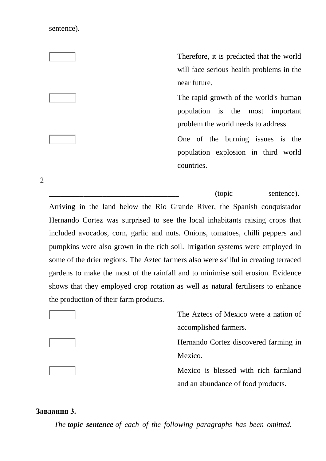sentence).

2

Therefore, it is predicted that the world will face serious health problems in the near future.

The rapid growth of the world's human population is the most important problem the world needs to address.

One of the burning issues is the population explosion in third world countries.

\_\_\_\_\_\_\_\_\_\_\_\_\_\_\_\_\_\_\_\_\_\_\_\_\_\_\_\_\_\_\_\_\_\_ (topic sentence). Arriving in the land below the Rio Grande River, the Spanish conquistador Hernando Cortez was surprised to see the local inhabitants raising crops that included avocados, corn, garlic and nuts. Onions, tomatoes, chilli peppers and pumpkins were also grown in the rich soil. Irrigation systems were employed in some of the drier regions. The Aztec farmers also were skilful in creating terraced gardens to make the most of the rainfall and to minimise soil erosion. Evidence shows that they employed crop rotation as well as natural fertilisers to enhance the production of their farm products.

> The Aztecs of Mexico were a nation of accomplished farmers.

> Hernando Cortez discovered farming in Mexico.

> Mexico is blessed with rich farmland and an abundance of food products.

#### **Завдання 3.**

*The topic sentence of each of the following paragraphs has been omitted.*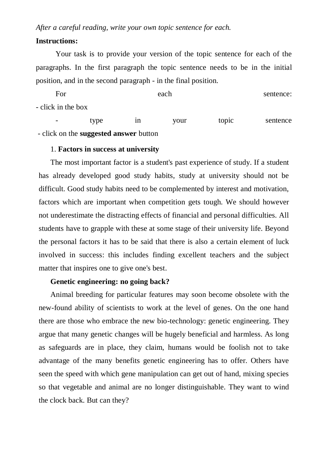*After a careful reading, write your own topic sentence for each.*

## **Instructions:**

 Your task is to provide your version of the topic sentence for each of the paragraphs. In the first paragraph the topic sentence needs to be in the initial position, and in the second paragraph - in the final position.

For each sentence: - click in the box

- type in your topic sentence - click on the **suggested answer** button

#### 1. **Factors in success at university**

The most important factor is a student's past experience of study. If a student has already developed good study habits, study at university should not be difficult. Good study habits need to be complemented by interest and motivation, factors which are important when competition gets tough. We should however not underestimate the distracting effects of financial and personal difficulties. All students have to grapple with these at some stage of their university life. Beyond the personal factors it has to be said that there is also a certain element of luck involved in success: this includes finding excellent teachers and the subject matter that inspires one to give one's best.

#### **Genetic engineering: no going back?**

Animal breeding for particular features may soon become obsolete with the new-found ability of scientists to work at the level of genes. On the one hand there are those who embrace the new bio-technology: genetic engineering. They argue that many genetic changes will be hugely beneficial and harmless. As long as safeguards are in place, they claim, humans would be foolish not to take advantage of the many benefits genetic engineering has to offer. Others have seen the speed with which gene manipulation can get out of hand, mixing species so that vegetable and animal are no longer distinguishable. They want to wind the clock back. But can they?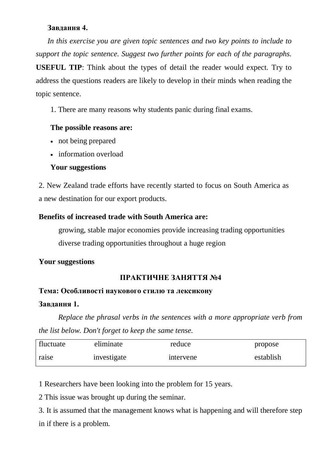## **Завдання 4.**

In this exercise you are given topic sentences and two key points to include to *support the topic sentence. Suggest two further points for each of the paragraphs.* **USEFUL TIP**: Think about the types of detail the reader would expect. Try to address the questions readers are likely to develop in their minds when reading the topic sentence.

1. There are many reasons why students panic during final exams.

## **The possible reasons are:**

- not being prepared
- information overload

## **Your suggestions**

2. New Zealand trade efforts have recently started to focus on South America as a new destination for our export products.

## **Benefits of increased trade with South America are:**

 growing, stable major economies provide increasing trading opportunities diverse trading opportunities throughout a huge region

## **Your suggestions**

## **ПРАКТИЧНЕ ЗАНЯТТЯ №4**

## **Тема: Особливості наукового стилю та лексикону**

## **Завдання 1.**

*Replace the phrasal verbs in the sentences with a more appropriate verb from the list below. Don't forget to keep the same tense.*

| fluctuate | eliminate   | reduce    | propose   |
|-----------|-------------|-----------|-----------|
| raise     | investigate | intervene | establish |

1 Researchers have been looking into the problem for 15 years.

2 This issue was brought up during the seminar.

3. It is assumed that the management knows what is happening and will therefore step in if there is a problem.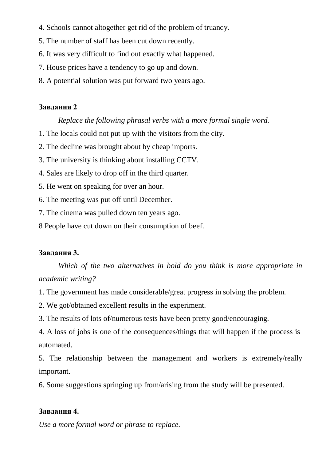- 4. Schools cannot altogether get rid of the problem of truancy.
- 5. The number of staff has been cut down recently.
- 6. It was very difficult to find out exactly what happened.
- 7. House prices have a tendency to go up and down.
- 8. A potential solution was put forward two years ago.

## **Завдання 2**

## *Replace the following phrasal verbs with a more formal single word.*

- 1. The locals could not put up with the visitors from the city.
- 2. The decline was brought about by cheap imports.
- 3. The university is thinking about installing CCTV.
- 4. Sales are likely to drop off in the third quarter.
- 5. He went on speaking for over an hour.
- 6. The meeting was put off until December.
- 7. The cinema was pulled down ten years ago.
- 8 People have cut down on their consumption of beef.

## **Завдання 3.**

*Which of the two alternatives in bold do you think is more appropriate in academic writing?*

- 1. The government has made considerable/great progress in solving the problem.
- 2. We got/obtained excellent results in the experiment.
- 3. The results of lots of/numerous tests have been pretty good/encouraging.
- 4. A loss of jobs is one of the consequences/things that will happen if the process is automated.

5. The relationship between the management and workers is extremely/really important.

6. Some suggestions springing up from/arising from the study will be presented.

## **Завдання 4.**

*Use a more formal word or phrase to replace.*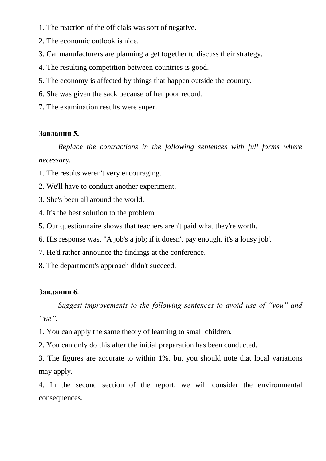- 1. The reaction of the officials was sort of negative.
- 2. The economic outlook is nice.
- 3. Car manufacturers are planning a get together to discuss their strategy.
- 4. The resulting competition between countries is good.
- 5. The economy is affected by things that happen outside the country.
- 6. She was given the sack because of her poor record.
- 7. The examination results were super.

## **Завдання 5.**

*Replace the contractions in the following sentences with full forms where necessary.*

- 1. The results weren't very encouraging.
- 2. We'll have to conduct another experiment.
- 3. She's been all around the world.
- 4. It's the best solution to the problem.
- 5. Our questionnaire shows that teachers aren't paid what they're worth.
- 6. His response was, "A job's a job; if it doesn't pay enough, it's a lousy job'.
- 7. He'd rather announce the findings at the conference.
- 8. The department's approach didn't succeed.

## **Завдання 6.**

*Suggest improvements to the following sentences to avoid use of "you" and "we".*

1. You can apply the same theory of learning to small children.

2. You can only do this after the initial preparation has been conducted.

3. The figures are accurate to within 1%, but you should note that local variations may apply.

4. In the second section of the report, we will consider the environmental consequences.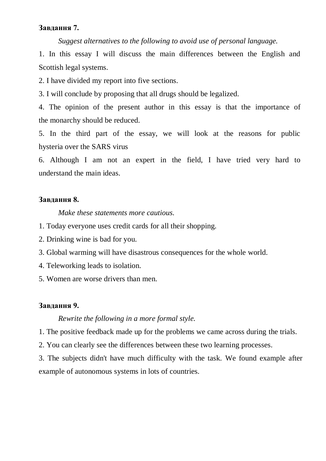## **Завдання 7.**

*Suggest alternatives to the following to avoid use of personal language.*

1. In this essay I will discuss the main differences between the English and Scottish legal systems.

2. I have divided my report into five sections.

3. I will conclude by proposing that all drugs should be legalized.

4. The opinion of the present author in this essay is that the importance of the monarchy should be reduced.

5. In the third part of the essay, we will look at the reasons for public hysteria over the SARS virus

6. Although I am not an expert in the field, I have tried very hard to understand the main ideas.

## **Завдання 8.**

*Make these statements more cautious.*

- 1. Today everyone uses credit cards for all their shopping.
- 2. Drinking wine is bad for you.
- 3. Global warming will have disastrous consequences for the whole world.
- 4. Teleworking leads to isolation.
- 5. Women are worse drivers than men.

#### **Завдання 9.**

#### *Rewrite the following in a more formal style.*

1. The positive feedback made up for the problems we came across during the trials.

2. You can clearly see the differences between these two learning processes.

3. The subjects didn't have much difficulty with the task. We found example after example of autonomous systems in lots of countries.